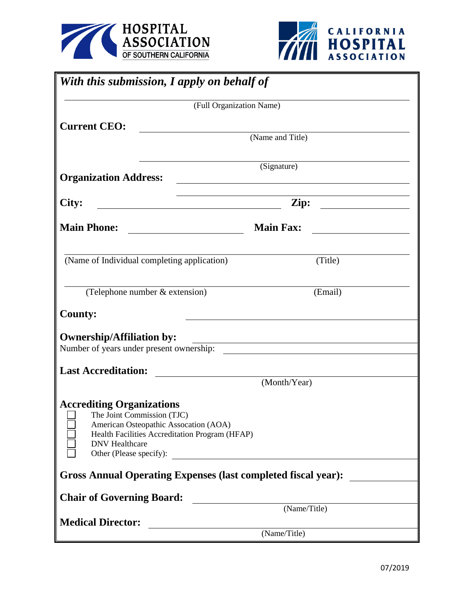



| With this submission, I apply on behalf of                                                                                                                                                                                                                                                                                            |                      |
|---------------------------------------------------------------------------------------------------------------------------------------------------------------------------------------------------------------------------------------------------------------------------------------------------------------------------------------|----------------------|
| (Full Organization Name)                                                                                                                                                                                                                                                                                                              |                      |
| <b>Current CEO:</b>                                                                                                                                                                                                                                                                                                                   |                      |
|                                                                                                                                                                                                                                                                                                                                       | (Name and Title)     |
| <b>Organization Address:</b>                                                                                                                                                                                                                                                                                                          | (Signature)          |
|                                                                                                                                                                                                                                                                                                                                       |                      |
| City:<br><u> 1980 - Johann Barn, mars ar breithinn ar breithinn ar breithinn ar breithinn ar breithinn ar breithinn ar br</u>                                                                                                                                                                                                         | Zip: $\qquad \qquad$ |
| <b>Main Phone:</b>                                                                                                                                                                                                                                                                                                                    | <b>Main Fax:</b>     |
| (Name of Individual completing application)                                                                                                                                                                                                                                                                                           | (Title)              |
| (Telephone number & extension)                                                                                                                                                                                                                                                                                                        | (Email)              |
| <b>County:</b>                                                                                                                                                                                                                                                                                                                        |                      |
| <b>Ownership/Affiliation by:</b><br>Number of years under present ownership:                                                                                                                                                                                                                                                          |                      |
| <b>Last Accreditation:</b>                                                                                                                                                                                                                                                                                                            |                      |
|                                                                                                                                                                                                                                                                                                                                       | (Month/Year)         |
| <b>Accrediting Organizations</b><br>The Joint Commission (TJC)<br>American Osteopathic Assocation (AOA)<br>Health Facilities Accreditation Program (HFAP)<br><b>DNV</b> Healthcare<br>Other (Please specify):<br><u> 1980 - Jan Stein Stein Stein Stein Stein Stein Stein Stein Stein Stein Stein Stein Stein Stein Stein Stein S</u> |                      |
| <b>Gross Annual Operating Expenses (last completed fiscal year):</b>                                                                                                                                                                                                                                                                  |                      |
| <b>Chair of Governing Board:</b>                                                                                                                                                                                                                                                                                                      |                      |
|                                                                                                                                                                                                                                                                                                                                       | (Name/Title)         |
| <b>Medical Director:</b>                                                                                                                                                                                                                                                                                                              | (Name/Title)         |